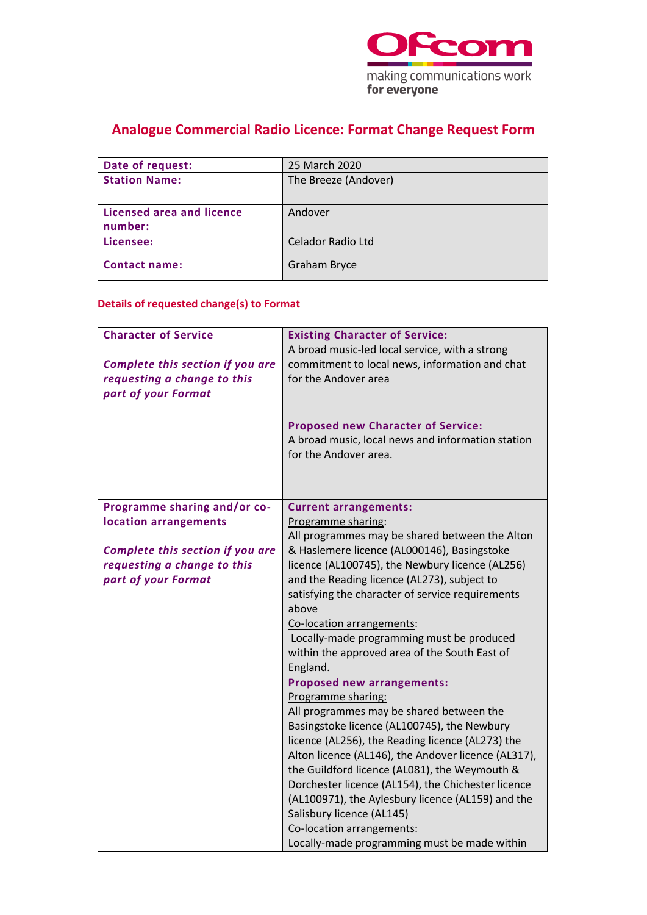

# **Analogue Commercial Radio Licence: Format Change Request Form**

| Date of request:                            | 25 March 2020        |
|---------------------------------------------|----------------------|
| <b>Station Name:</b>                        | The Breeze (Andover) |
| <b>Licensed area and licence</b><br>number: | Andover              |
| Licensee:                                   | Celador Radio Ltd    |
| <b>Contact name:</b>                        | <b>Graham Bryce</b>  |

### **Details of requested change(s) to Format**

| <b>Character of Service</b><br>Complete this section if you are<br>requesting a change to this<br>part of your Format | <b>Existing Character of Service:</b><br>A broad music-led local service, with a strong<br>commitment to local news, information and chat<br>for the Andover area<br><b>Proposed new Character of Service:</b><br>A broad music, local news and information station |
|-----------------------------------------------------------------------------------------------------------------------|---------------------------------------------------------------------------------------------------------------------------------------------------------------------------------------------------------------------------------------------------------------------|
|                                                                                                                       | for the Andover area.                                                                                                                                                                                                                                               |
| Programme sharing and/or co-                                                                                          | <b>Current arrangements:</b>                                                                                                                                                                                                                                        |
| location arrangements                                                                                                 | Programme sharing:                                                                                                                                                                                                                                                  |
| Complete this section if you are                                                                                      | All programmes may be shared between the Alton<br>& Haslemere licence (AL000146), Basingstoke                                                                                                                                                                       |
| requesting a change to this                                                                                           | licence (AL100745), the Newbury licence (AL256)                                                                                                                                                                                                                     |
| part of your Format                                                                                                   | and the Reading licence (AL273), subject to                                                                                                                                                                                                                         |
|                                                                                                                       | satisfying the character of service requirements<br>above                                                                                                                                                                                                           |
|                                                                                                                       | Co-location arrangements:                                                                                                                                                                                                                                           |
|                                                                                                                       | Locally-made programming must be produced                                                                                                                                                                                                                           |
|                                                                                                                       | within the approved area of the South East of                                                                                                                                                                                                                       |
|                                                                                                                       | England.<br><b>Proposed new arrangements:</b>                                                                                                                                                                                                                       |
|                                                                                                                       | Programme sharing:                                                                                                                                                                                                                                                  |
|                                                                                                                       | All programmes may be shared between the                                                                                                                                                                                                                            |
|                                                                                                                       | Basingstoke licence (AL100745), the Newbury                                                                                                                                                                                                                         |
|                                                                                                                       | licence (AL256), the Reading licence (AL273) the                                                                                                                                                                                                                    |
|                                                                                                                       | Alton licence (AL146), the Andover licence (AL317),<br>the Guildford licence (AL081), the Weymouth &                                                                                                                                                                |
|                                                                                                                       | Dorchester licence (AL154), the Chichester licence                                                                                                                                                                                                                  |
|                                                                                                                       | (AL100971), the Aylesbury licence (AL159) and the                                                                                                                                                                                                                   |
|                                                                                                                       | Salisbury licence (AL145)                                                                                                                                                                                                                                           |
|                                                                                                                       | Co-location arrangements:                                                                                                                                                                                                                                           |
|                                                                                                                       | Locally-made programming must be made within                                                                                                                                                                                                                        |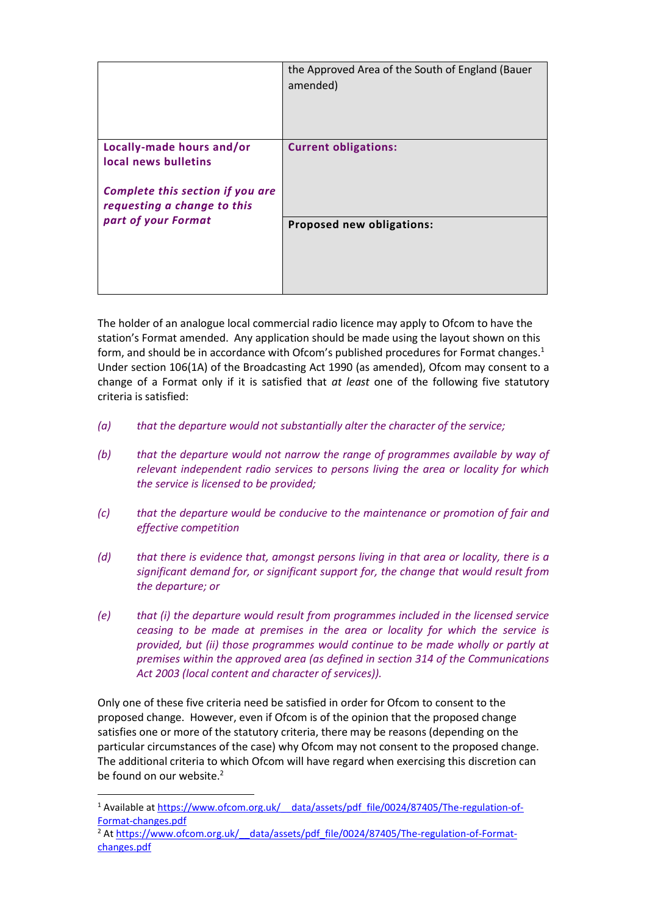|                                                                                                                      | the Approved Area of the South of England (Bauer<br>amended) |
|----------------------------------------------------------------------------------------------------------------------|--------------------------------------------------------------|
| Locally-made hours and/or<br>local news bulletins<br>Complete this section if you are<br>requesting a change to this | <b>Current obligations:</b>                                  |
| part of your Format                                                                                                  | Proposed new obligations:                                    |

The holder of an analogue local commercial radio licence may apply to Ofcom to have the station's Format amended. Any application should be made using the layout shown on this form, and should be in accordance with Ofcom's published procedures for Format changes. 1 Under section 106(1A) of the Broadcasting Act 1990 (as amended), Ofcom may consent to a change of a Format only if it is satisfied that *at least* one of the following five statutory criteria is satisfied:

- *(a) that the departure would not substantially alter the character of the service;*
- *(b) that the departure would not narrow the range of programmes available by way of relevant independent radio services to persons living the area or locality for which the service is licensed to be provided;*
- *(c) that the departure would be conducive to the maintenance or promotion of fair and effective competition*
- *(d) that there is evidence that, amongst persons living in that area or locality, there is a significant demand for, or significant support for, the change that would result from the departure; or*
- *(e) that (i) the departure would result from programmes included in the licensed service ceasing to be made at premises in the area or locality for which the service is provided, but (ii) those programmes would continue to be made wholly or partly at premises within the approved area (as defined in section 314 of the Communications Act 2003 (local content and character of services)).*

Only one of these five criteria need be satisfied in order for Ofcom to consent to the proposed change. However, even if Ofcom is of the opinion that the proposed change satisfies one or more of the statutory criteria, there may be reasons (depending on the particular circumstances of the case) why Ofcom may not consent to the proposed change. The additional criteria to which Ofcom will have regard when exercising this discretion can be found on our website. $2$ 

<sup>&</sup>lt;sup>1</sup> Available at https://www.ofcom.org.uk/ data/assets/pdf file/0024/87405/The-regulation-of-[Format-changes.pdf](https://www.ofcom.org.uk/__data/assets/pdf_file/0024/87405/The-regulation-of-Format-changes.pdf)

<sup>&</sup>lt;sup>2</sup> At https://www.ofcom.org.uk/ data/assets/pdf\_file/0024/87405/The-regulation-of-Format[changes.pdf](https://www.ofcom.org.uk/__data/assets/pdf_file/0024/87405/The-regulation-of-Format-changes.pdf)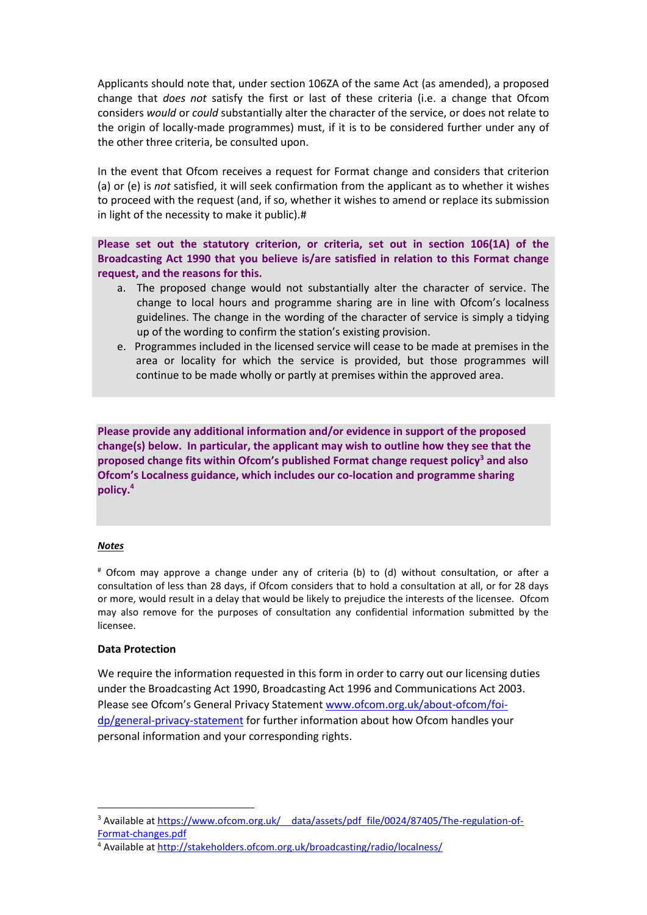Applicants should note that, under section 106ZA of the same Act (as amended), a proposed change that *does not* satisfy the first or last of these criteria (i.e. a change that Ofcom considers *would* or *could* substantially alter the character of the service, or does not relate to the origin of locally-made programmes) must, if it is to be considered further under any of the other three criteria, be consulted upon.

In the event that Ofcom receives a request for Format change and considers that criterion (a) or (e) is *not* satisfied, it will seek confirmation from the applicant as to whether it wishes to proceed with the request (and, if so, whether it wishes to amend or replace its submission in light of the necessity to make it public).#

**Please set out the statutory criterion, or criteria, set out in section 106(1A) of the Broadcasting Act 1990 that you believe is/are satisfied in relation to this Format change request, and the reasons for this.**

- a. The proposed change would not substantially alter the character of service. The change to local hours and programme sharing are in line with Ofcom's localness guidelines. The change in the wording of the character of service is simply a tidying up of the wording to confirm the station's existing provision.
- e. Programmes included in the licensed service will cease to be made at premises in the area or locality for which the service is provided, but those programmes will continue to be made wholly or partly at premises within the approved area.

**Please provide any additional information and/or evidence in support of the proposed change(s) below. In particular, the applicant may wish to outline how they see that the proposed change fits within Ofcom's published Format change request policy<sup>3</sup> and also Ofcom's Localness guidance, which includes our co-location and programme sharing policy. 4**

#### *Notes*

# Ofcom may approve a change under any of criteria (b) to (d) without consultation, or after a consultation of less than 28 days, if Ofcom considers that to hold a consultation at all, or for 28 days or more, would result in a delay that would be likely to prejudice the interests of the licensee. Ofcom may also remove for the purposes of consultation any confidential information submitted by the licensee.

#### **Data Protection**

We require the information requested in this form in order to carry out our licensing duties under the Broadcasting Act 1990, Broadcasting Act 1996 and Communications Act 2003. Please see Ofcom's General Privacy Statement [www.ofcom.org.uk/about-ofcom/foi](http://www.ofcom.org.uk/about-ofcom/foi-dp/general-privacy-statement)[dp/general-privacy-statement](http://www.ofcom.org.uk/about-ofcom/foi-dp/general-privacy-statement) for further information about how Ofcom handles your personal information and your corresponding rights.

<sup>&</sup>lt;sup>3</sup> Available at https://www.ofcom.org.uk/ data/assets/pdf\_file/0024/87405/The-regulation-of-[Format-changes.pdf](https://www.ofcom.org.uk/__data/assets/pdf_file/0024/87405/The-regulation-of-Format-changes.pdf)

<sup>4</sup> Available at<http://stakeholders.ofcom.org.uk/broadcasting/radio/localness/>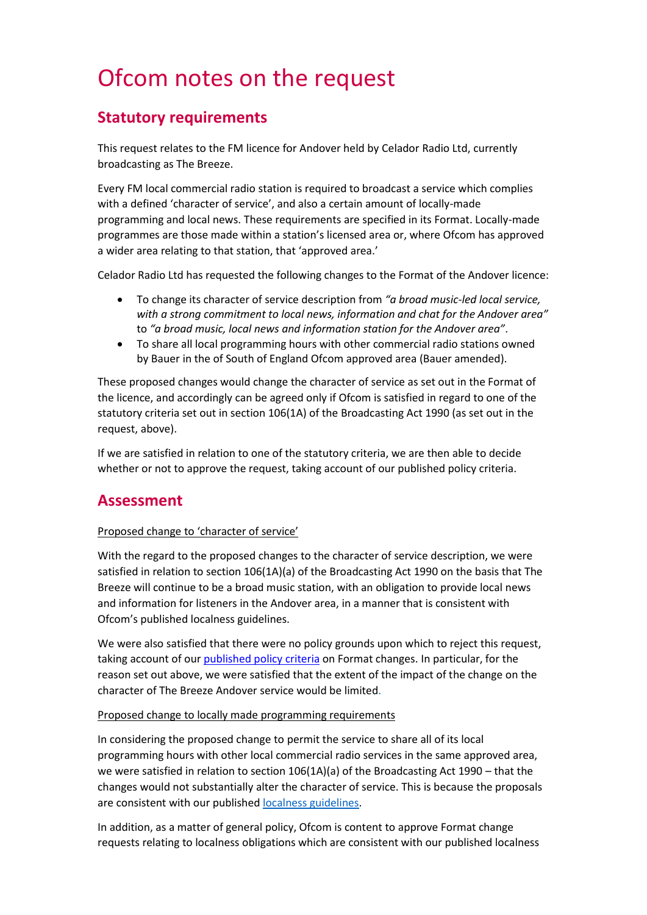# Ofcom notes on the request

## **Statutory requirements**

This request relates to the FM licence for Andover held by Celador Radio Ltd, currently broadcasting as The Breeze.

Every FM local commercial radio station is required to broadcast a service which complies with a defined 'character of service', and also a certain amount of locally-made programming and local news. These requirements are specified in its Format. Locally-made programmes are those made within a station's licensed area or, where Ofcom has approved a wider area relating to that station, that 'approved area.'

Celador Radio Ltd has requested the following changes to the Format of the Andover licence:

- To change its character of service description from *"a broad music-led local service, with a strong commitment to local news, information and chat for the Andover area"*  to *"a broad music, local news and information station for the Andover area"*.
- To share all local programming hours with other commercial radio stations owned by Bauer in the of South of England Ofcom approved area (Bauer amended).

These proposed changes would change the character of service as set out in the Format of the licence, and accordingly can be agreed only if Ofcom is satisfied in regard to one of the statutory criteria set out in section 106(1A) of the Broadcasting Act 1990 (as set out in the request, above).

If we are satisfied in relation to one of the statutory criteria, we are then able to decide whether or not to approve the request, taking account of our published policy criteria.

## **Assessment**

#### Proposed change to 'character of service'

With the regard to the proposed changes to the character of service description, we were satisfied in relation to section 106(1A)(a) of the Broadcasting Act 1990 on the basis that The Breeze will continue to be a broad music station, with an obligation to provide local news and information for listeners in the Andover area, in a manner that is consistent with Ofcom's published localness guidelines.

We were also satisfied that there were no policy grounds upon which to reject this request, taking account of our published policy criteria on Format changes. In particular, for the reason set out above, we were satisfied that the extent of the impact of the change on the character of The Breeze Andover service would be limited.

#### Proposed change to locally made programming requirements

In considering the proposed change to permit the service to share all of its local programming hours with other local commercial radio services in the same approved area, we were satisfied in relation to section 106(1A)(a) of the Broadcasting Act 1990 – that the changes would not substantially alter the character of service. This is because the proposals are consistent with our published [localness guidelines.](https://www.ofcom.org.uk/tv-radio-and-on-demand/information-for-industry/radio-broadcasters/localness)

In addition, as a matter of general policy, Ofcom is content to approve Format change requests relating to localness obligations which are consistent with our published localness